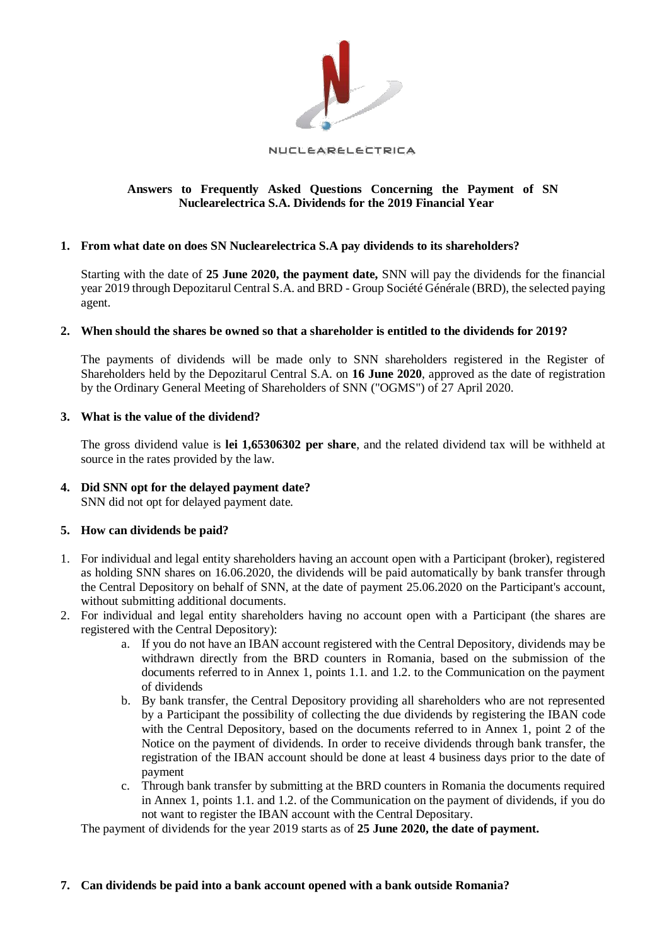

#### NUCLEARELECTRICA

# **Answers to Frequently Asked Questions Concerning the Payment of SN Nuclearelectrica S.A. Dividends for the 2019 Financial Year**

# **1. From what date on does SN Nuclearelectrica S.A pay dividends to its shareholders?**

Starting with the date of **25 June 2020, the payment date,** SNN will pay the dividends for the financial year 2019 through Depozitarul Central S.A. and BRD - Group Société Générale (BRD), the selected paying agent.

# **2. When should the shares be owned so that a shareholder is entitled to the dividends for 2019?**

The payments of dividends will be made only to SNN shareholders registered in the Register of Shareholders held by the Depozitarul Central S.A. on **16 June 2020**, approved as the date of registration by the Ordinary General Meeting of Shareholders of SNN ("OGMS") of 27 April 2020.

# **3. What is the value of the dividend?**

The gross dividend value is **lei 1,65306302 per share**, and the related dividend tax will be withheld at source in the rates provided by the law.

# **4. Did SNN opt for the delayed payment date?**  SNN did not opt for delayed payment date.

# **5. How can dividends be paid?**

- 1. For individual and legal entity shareholders having an account open with a Participant (broker), registered as holding SNN shares on 16.06.2020, the dividends will be paid automatically by bank transfer through the Central Depository on behalf of SNN, at the date of payment 25.06.2020 on the Participant's account, without submitting additional documents.
- 2. For individual and legal entity shareholders having no account open with a Participant (the shares are registered with the Central Depository):
	- a. If you do not have an IBAN account registered with the Central Depository, dividends may be withdrawn directly from the BRD counters in Romania, based on the submission of the documents referred to in Annex 1, points 1.1. and 1.2. to the Communication on the payment of dividends
	- b. By bank transfer, the Central Depository providing all shareholders who are not represented by a Participant the possibility of collecting the due dividends by registering the IBAN code with the Central Depository, based on the documents referred to in Annex 1, point 2 of the Notice on the payment of dividends. In order to receive dividends through bank transfer, the registration of the IBAN account should be done at least 4 business days prior to the date of payment
	- c. Through bank transfer by submitting at the BRD counters in Romania the documents required in Annex 1, points 1.1. and 1.2. of the Communication on the payment of dividends, if you do not want to register the IBAN account with the Central Depositary.

The payment of dividends for the year 2019 starts as of **25 June 2020, the date of payment.** 

# **7. Can dividends be paid into a bank account opened with a bank outside Romania?**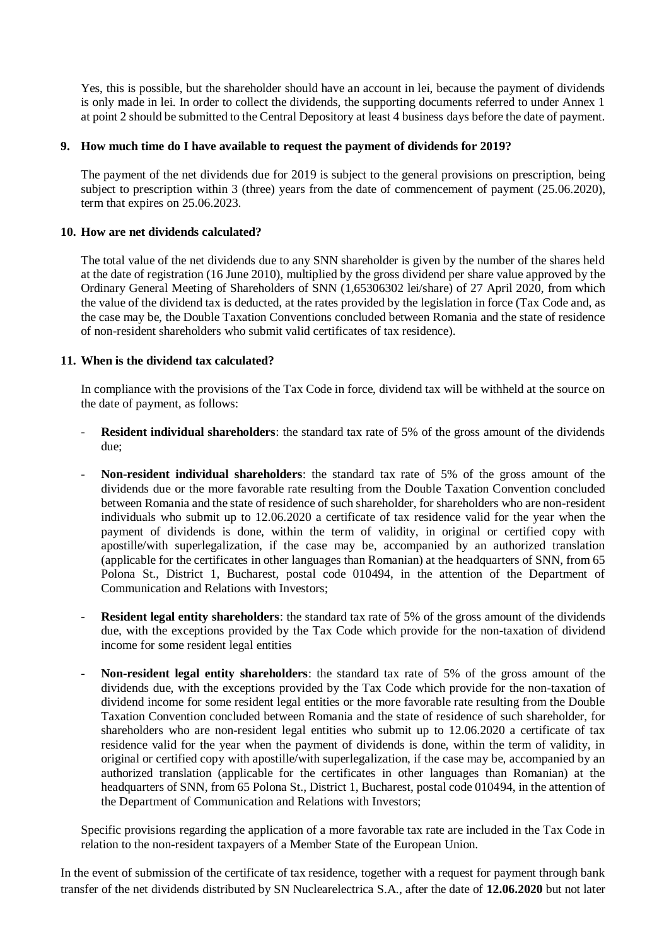Yes, this is possible, but the shareholder should have an account in lei, because the payment of dividends is only made in lei. In order to collect the dividends, the supporting documents referred to under Annex 1 at point 2 should be submitted to the Central Depository at least 4 business days before the date of payment.

# **9. How much time do I have available to request the payment of dividends for 2019?**

The payment of the net dividends due for 2019 is subject to the general provisions on prescription, being subject to prescription within 3 (three) years from the date of commencement of payment (25.06.2020), term that expires on 25.06.2023.

#### **10. How are net dividends calculated?**

The total value of the net dividends due to any SNN shareholder is given by the number of the shares held at the date of registration (16 June 2010), multiplied by the gross dividend per share value approved by the Ordinary General Meeting of Shareholders of SNN (1,65306302 lei/share) of 27 April 2020, from which the value of the dividend tax is deducted, at the rates provided by the legislation in force (Tax Code and, as the case may be, the Double Taxation Conventions concluded between Romania and the state of residence of non-resident shareholders who submit valid certificates of tax residence).

#### **11. When is the dividend tax calculated?**

In compliance with the provisions of the Tax Code in force, dividend tax will be withheld at the source on the date of payment, as follows:

- **Resident individual shareholders**: the standard tax rate of 5% of the gross amount of the dividends due;
- **Non-resident individual shareholders**: the standard tax rate of 5% of the gross amount of the dividends due or the more favorable rate resulting from the Double Taxation Convention concluded between Romania and the state of residence of such shareholder, for shareholders who are non-resident individuals who submit up to 12.06.2020 a certificate of tax residence valid for the year when the payment of dividends is done, within the term of validity, in original or certified copy with apostille/with superlegalization, if the case may be, accompanied by an authorized translation (applicable for the certificates in other languages than Romanian) at the headquarters of SNN, from 65 Polona St., District 1, Bucharest, postal code 010494, in the attention of the Department of Communication and Relations with Investors;
- **Resident legal entity shareholders**: the standard tax rate of 5% of the gross amount of the dividends due, with the exceptions provided by the Tax Code which provide for the non-taxation of dividend income for some resident legal entities
- **Non-resident legal entity shareholders**: the standard tax rate of 5% of the gross amount of the dividends due, with the exceptions provided by the Tax Code which provide for the non-taxation of dividend income for some resident legal entities or the more favorable rate resulting from the Double Taxation Convention concluded between Romania and the state of residence of such shareholder, for shareholders who are non-resident legal entities who submit up to 12.06.2020 a certificate of tax residence valid for the year when the payment of dividends is done, within the term of validity, in original or certified copy with apostille/with superlegalization, if the case may be, accompanied by an authorized translation (applicable for the certificates in other languages than Romanian) at the headquarters of SNN, from 65 Polona St., District 1, Bucharest, postal code 010494, in the attention of the Department of Communication and Relations with Investors;

Specific provisions regarding the application of a more favorable tax rate are included in the Tax Code in relation to the non-resident taxpayers of a Member State of the European Union.

In the event of submission of the certificate of tax residence, together with a request for payment through bank transfer of the net dividends distributed by SN Nuclearelectrica S.A., after the date of **12.06.2020** but not later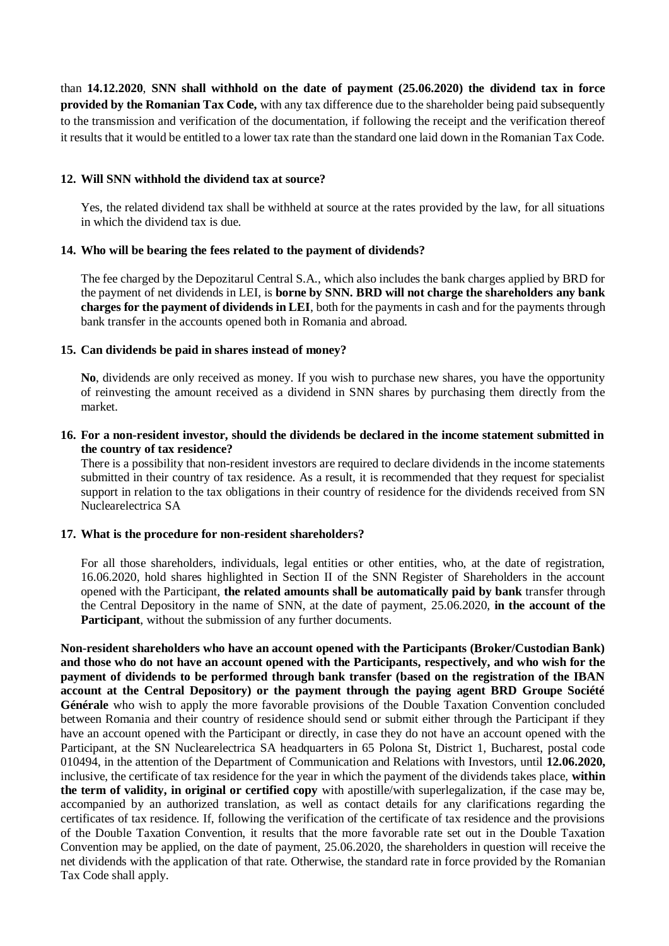than **14.12.2020**, **SNN shall withhold on the date of payment (25.06.2020) the dividend tax in force provided by the Romanian Tax Code,** with any tax difference due to the shareholder being paid subsequently to the transmission and verification of the documentation, if following the receipt and the verification thereof it results that it would be entitled to a lower tax rate than the standard one laid down in the Romanian Tax Code.

# **12. Will SNN withhold the dividend tax at source?**

Yes, the related dividend tax shall be withheld at source at the rates provided by the law, for all situations in which the dividend tax is due.

# **14. Who will be bearing the fees related to the payment of dividends?**

The fee charged by the Depozitarul Central S.A., which also includes the bank charges applied by BRD for the payment of net dividends in LEI, is **borne by SNN. BRD will not charge the shareholders any bank charges for the payment of dividends in LEI**, both for the payments in cash and for the payments through bank transfer in the accounts opened both in Romania and abroad.

# **15. Can dividends be paid in shares instead of money?**

**No**, dividends are only received as money. If you wish to purchase new shares, you have the opportunity of reinvesting the amount received as a dividend in SNN shares by purchasing them directly from the market.

# **16. For a non-resident investor, should the dividends be declared in the income statement submitted in the country of tax residence?**

There is a possibility that non-resident investors are required to declare dividends in the income statements submitted in their country of tax residence. As a result, it is recommended that they request for specialist support in relation to the tax obligations in their country of residence for the dividends received from SN Nuclearelectrica SA

# **17. What is the procedure for non-resident shareholders?**

For all those shareholders, individuals, legal entities or other entities, who, at the date of registration, 16.06.2020, hold shares highlighted in Section II of the SNN Register of Shareholders in the account opened with the Participant, **the related amounts shall be automatically paid by bank** transfer through the Central Depository in the name of SNN, at the date of payment, 25.06.2020, **in the account of the Participant**, without the submission of any further documents.

**Non-resident shareholders who have an account opened with the Participants (Broker/Custodian Bank) and those who do not have an account opened with the Participants, respectively, and who wish for the payment of dividends to be performed through bank transfer (based on the registration of the IBAN account at the Central Depository) or the payment through the paying agent BRD Groupe Société Générale** who wish to apply the more favorable provisions of the Double Taxation Convention concluded between Romania and their country of residence should send or submit either through the Participant if they have an account opened with the Participant or directly, in case they do not have an account opened with the Participant, at the SN Nuclearelectrica SA headquarters in 65 Polona St, District 1, Bucharest, postal code 010494, in the attention of the Department of Communication and Relations with Investors, until **12.06.2020,** inclusive, the certificate of tax residence for the year in which the payment of the dividends takes place, **within the term of validity, in original or certified copy** with apostille/with superlegalization, if the case may be, accompanied by an authorized translation, as well as contact details for any clarifications regarding the certificates of tax residence. If, following the verification of the certificate of tax residence and the provisions of the Double Taxation Convention, it results that the more favorable rate set out in the Double Taxation Convention may be applied, on the date of payment, 25.06.2020, the shareholders in question will receive the net dividends with the application of that rate. Otherwise, the standard rate in force provided by the Romanian Tax Code shall apply.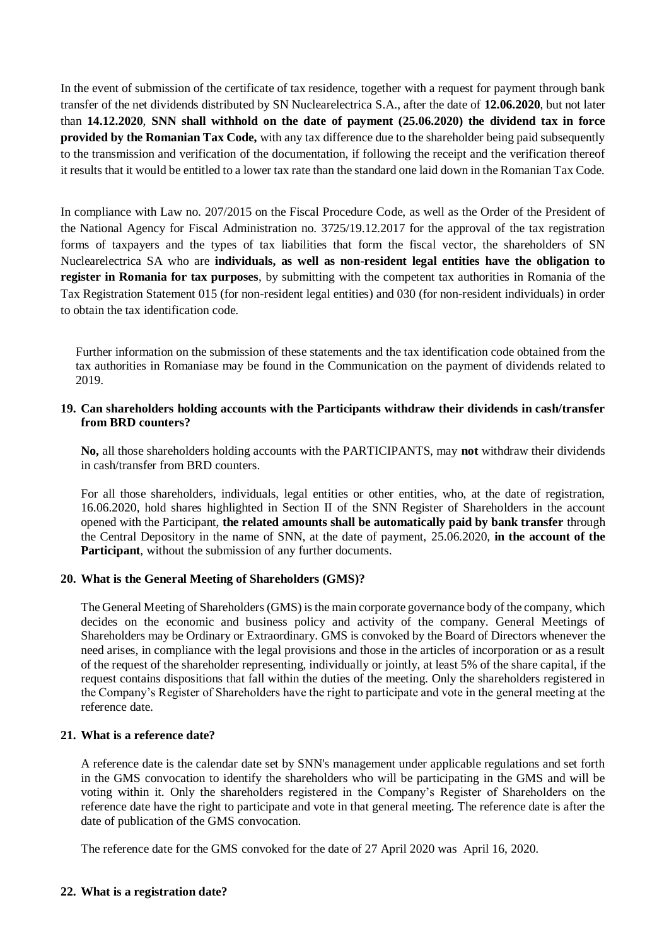In the event of submission of the certificate of tax residence, together with a request for payment through bank transfer of the net dividends distributed by SN Nuclearelectrica S.A., after the date of **12.06.2020**, but not later than **14.12.2020**, **SNN shall withhold on the date of payment (25.06.2020) the dividend tax in force provided by the Romanian Tax Code,** with any tax difference due to the shareholder being paid subsequently to the transmission and verification of the documentation, if following the receipt and the verification thereof it results that it would be entitled to a lower tax rate than the standard one laid down in the Romanian Tax Code.

In compliance with Law no. 207/2015 on the Fiscal Procedure Code, as well as the Order of the President of the National Agency for Fiscal Administration no. 3725/19.12.2017 for the approval of the tax registration forms of taxpayers and the types of tax liabilities that form the fiscal vector, the shareholders of SN Nuclearelectrica SA who are **individuals, as well as non-resident legal entities have the obligation to register in Romania for tax purposes**, by submitting with the competent tax authorities in Romania of the Tax Registration Statement 015 (for non-resident legal entities) and 030 (for non-resident individuals) in order to obtain the tax identification code.

Further information on the submission of these statements and the tax identification code obtained from the tax authorities in Romaniase may be found in the Communication on the payment of dividends related to 2019.

# **19. Can shareholders holding accounts with the Participants withdraw their dividends in cash/transfer from BRD counters?**

**No,** all those shareholders holding accounts with the PARTICIPANTS, may **not** withdraw their dividends in cash/transfer from BRD counters.

For all those shareholders, individuals, legal entities or other entities, who, at the date of registration, 16.06.2020, hold shares highlighted in Section II of the SNN Register of Shareholders in the account opened with the Participant, **the related amounts shall be automatically paid by bank transfer** through the Central Depository in the name of SNN, at the date of payment, 25.06.2020, **in the account of the Participant**, without the submission of any further documents.

# **20. What is the General Meeting of Shareholders (GMS)?**

The General Meeting of Shareholders (GMS) is the main corporate governance body of the company, which decides on the economic and business policy and activity of the company. General Meetings of Shareholders may be Ordinary or Extraordinary. GMS is convoked by the Board of Directors whenever the need arises, in compliance with the legal provisions and those in the articles of incorporation or as a result of the request of the shareholder representing, individually or jointly, at least 5% of the share capital, if the request contains dispositions that fall within the duties of the meeting. Only the shareholders registered in the Company's Register of Shareholders have the right to participate and vote in the general meeting at the reference date.

#### **21. What is a reference date?**

A reference date is the calendar date set by SNN's management under applicable regulations and set forth in the GMS convocation to identify the shareholders who will be participating in the GMS and will be voting within it. Only the shareholders registered in the Company's Register of Shareholders on the reference date have the right to participate and vote in that general meeting. The reference date is after the date of publication of the GMS convocation.

The reference date for the GMS convoked for the date of 27 April 2020 was April 16, 2020.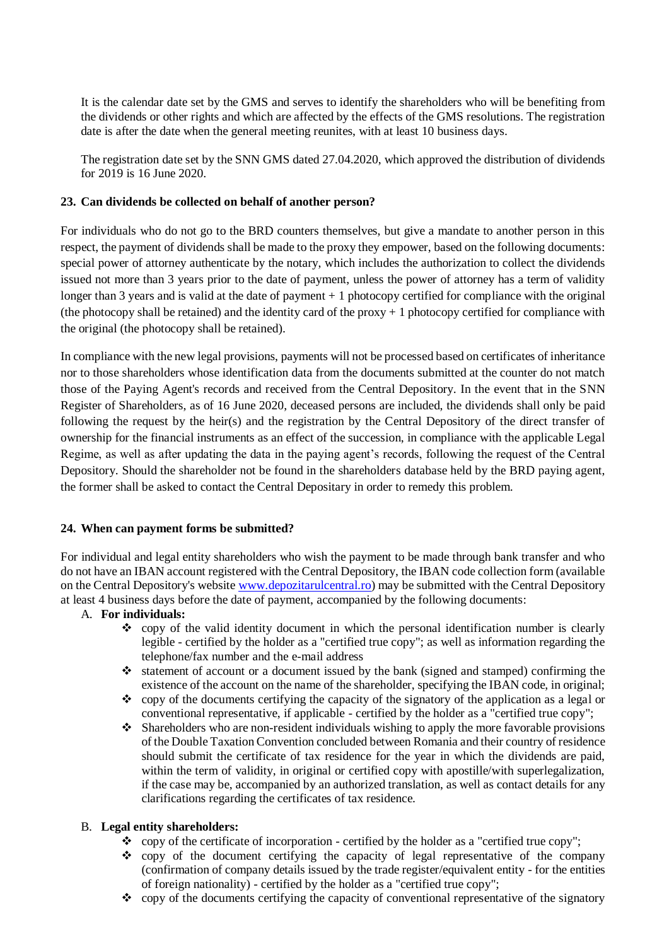It is the calendar date set by the GMS and serves to identify the shareholders who will be benefiting from the dividends or other rights and which are affected by the effects of the GMS resolutions. The registration date is after the date when the general meeting reunites, with at least 10 business days.

The registration date set by the SNN GMS dated 27.04.2020, which approved the distribution of dividends for 2019 is 16 June 2020.

# **23. Can dividends be collected on behalf of another person?**

For individuals who do not go to the BRD counters themselves, but give a mandate to another person in this respect, the payment of dividends shall be made to the proxy they empower, based on the following documents: special power of attorney authenticate by the notary, which includes the authorization to collect the dividends issued not more than 3 years prior to the date of payment, unless the power of attorney has a term of validity longer than 3 years and is valid at the date of payment + 1 photocopy certified for compliance with the original (the photocopy shall be retained) and the identity card of the proxy  $+1$  photocopy certified for compliance with the original (the photocopy shall be retained).

In compliance with the new legal provisions, payments will not be processed based on certificates of inheritance nor to those shareholders whose identification data from the documents submitted at the counter do not match those of the Paying Agent's records and received from the Central Depository. In the event that in the SNN Register of Shareholders, as of 16 June 2020, deceased persons are included, the dividends shall only be paid following the request by the heir(s) and the registration by the Central Depository of the direct transfer of ownership for the financial instruments as an effect of the succession, in compliance with the applicable Legal Regime, as well as after updating the data in the paying agent's records, following the request of the Central Depository. Should the shareholder not be found in the shareholders database held by the BRD paying agent, the former shall be asked to contact the Central Depositary in order to remedy this problem.

# **24. When can payment forms be submitted?**

For individual and legal entity shareholders who wish the payment to be made through bank transfer and who do not have an IBAN account registered with the Central Depository, the IBAN code collection form (available on the Central Depository's website [www.depozitarulcentral.ro\)](http://www.depozitarulcentral.ro/) may be submitted with the Central Depository at least 4 business days before the date of payment, accompanied by the following documents:

# A. **For individuals:**

- ❖ copy of the valid identity document in which the personal identification number is clearly legible - certified by the holder as a "certified true copy"; as well as information regarding the telephone/fax number and the e-mail address
- ❖ statement of account or a document issued by the bank (signed and stamped) confirming the existence of the account on the name of the shareholder, specifying the IBAN code, in original;
- ❖ copy of the documents certifying the capacity of the signatory of the application as a legal or conventional representative, if applicable - certified by the holder as a "certified true copy";
- $\triangle$  Shareholders who are non-resident individuals wishing to apply the more favorable provisions of the Double Taxation Convention concluded between Romania and their country of residence should submit the certificate of tax residence for the year in which the dividends are paid, within the term of validity, in original or certified copy with apostille/with superlegalization, if the case may be, accompanied by an authorized translation, as well as contact details for any clarifications regarding the certificates of tax residence.

# B. **Legal entity shareholders:**

- ❖ copy of the certificate of incorporation certified by the holder as a "certified true copy";
- ❖ copy of the document certifying the capacity of legal representative of the company (confirmation of company details issued by the trade register/equivalent entity - for the entities of foreign nationality) - certified by the holder as a "certified true copy";
- ❖ copy of the documents certifying the capacity of conventional representative of the signatory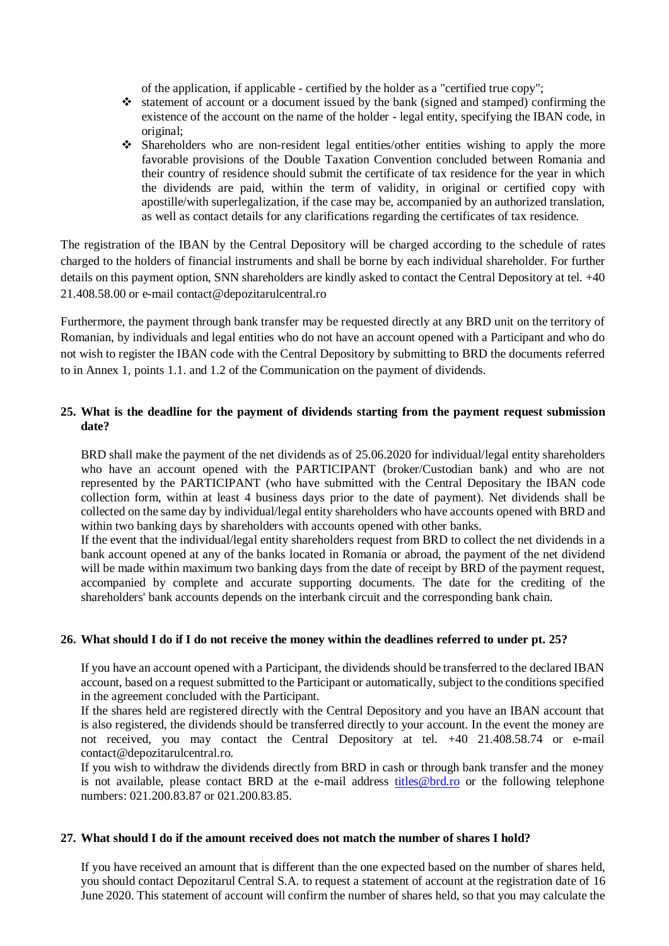of the application, if applicable - certified by the holder as a "certified true copy";

- ❖ statement of account or a document issued by the bank (signed and stamped) confirming the existence of the account on the name of the holder - legal entity, specifying the IBAN code, in original;
- ❖ Shareholders who are non-resident legal entities/other entities wishing to apply the more favorable provisions of the Double Taxation Convention concluded between Romania and their country of residence should submit the certificate of tax residence for the year in which the dividends are paid, within the term of validity, in original or certified copy with apostille/with superlegalization, if the case may be, accompanied by an authorized translation, as well as contact details for any clarifications regarding the certificates of tax residence.

The registration of the IBAN by the Central Depository will be charged according to the schedule of rates charged to the holders of financial instruments and shall be borne by each individual shareholder. For further details on this payment option, SNN shareholders are kindly asked to contact the Central Depository at tel. +40 21.408.58.00 or e-mail contact@depozitarulcentral.ro

Furthermore, the payment through bank transfer may be requested directly at any BRD unit on the territory of Romanian, by individuals and legal entities who do not have an account opened with a Participant and who do not wish to register the IBAN code with the Central Depository by submitting to BRD the documents referred to in Annex 1, points 1.1. and 1.2 of the Communication on the payment of dividends.

# **25. What is the deadline for the payment of dividends starting from the payment request submission date?**

BRD shall make the payment of the net dividends as of 25.06.2020 for individual/legal entity shareholders who have an account opened with the PARTICIPANT (broker/Custodian bank) and who are not represented by the PARTICIPANT (who have submitted with the Central Depositary the IBAN code collection form, within at least 4 business days prior to the date of payment). Net dividends shall be collected on the same day by individual/legal entity shareholders who have accounts opened with BRD and within two banking days by shareholders with accounts opened with other banks.

If the event that the individual/legal entity shareholders request from BRD to collect the net dividends in a bank account opened at any of the banks located in Romania or abroad, the payment of the net dividend will be made within maximum two banking days from the date of receipt by BRD of the payment request, accompanied by complete and accurate supporting documents. The date for the crediting of the shareholders' bank accounts depends on the interbank circuit and the corresponding bank chain.

# **26. What should I do if I do not receive the money within the deadlines referred to under pt. 25?**

If you have an account opened with a Participant, the dividends should be transferred to the declared IBAN account, based on a request submitted to the Participant or automatically, subject to the conditions specified in the agreement concluded with the Participant.

If the shares held are registered directly with the Central Depository and you have an IBAN account that is also registered, the dividends should be transferred directly to your account. In the event the money are not received, you may contact the Central Depository at tel. +40 21.408.58.74 or e-mail contact@depozitarulcentral.ro.

If you wish to withdraw the dividends directly from BRD in cash or through bank transfer and the money is not available, please contact BRD at the e-mail address titles@brd.ro or the following telephone numbers: 021.200.83.87 or 021.200.83.85.

# **27. What should I do if the amount received does not match the number of shares I hold?**

If you have received an amount that is different than the one expected based on the number of shares held, you should contact Depozitarul Central S.A. to request a statement of account at the registration date of 16 June 2020. This statement of account will confirm the number of shares held, so that you may calculate the